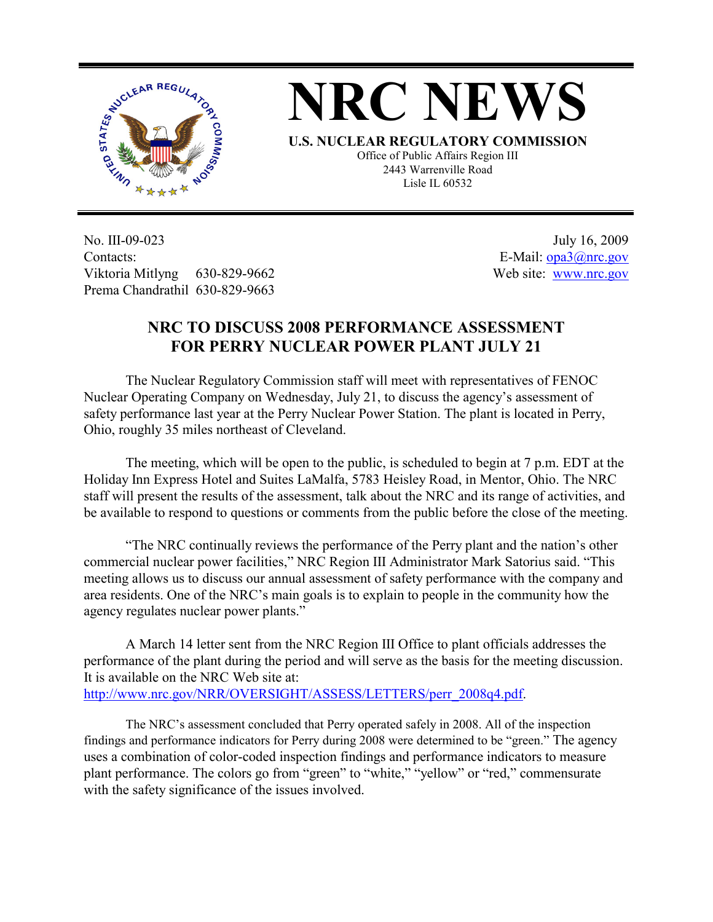



**U.S. NUCLEAR REGULATORY COMMISSION** Office of Public Affairs Region III 2443 Warrenville Road Lisle IL 60532

No. III-09-023 Contacts: Viktoria Mitlyng 630-829-9662 Prema Chandrathil 630-829-9663

 July 16, 2009 E-Mail: opa3@nrc.gov Web site: www.nrc.gov

## **NRC TO DISCUSS 2008 PERFORMANCE ASSESSMENT FOR PERRY NUCLEAR POWER PLANT JULY 21**

 The Nuclear Regulatory Commission staff will meet with representatives of FENOC Nuclear Operating Company on Wednesday, July 21, to discuss the agency's assessment of safety performance last year at the Perry Nuclear Power Station. The plant is located in Perry, Ohio, roughly 35 miles northeast of Cleveland.

 The meeting, which will be open to the public, is scheduled to begin at 7 p.m. EDT at the Holiday Inn Express Hotel and Suites LaMalfa, 5783 Heisley Road, in Mentor, Ohio. The NRC staff will present the results of the assessment, talk about the NRC and its range of activities, and be available to respond to questions or comments from the public before the close of the meeting.

 "The NRC continually reviews the performance of the Perry plant and the nation's other commercial nuclear power facilities," NRC Region III Administrator Mark Satorius said. "This meeting allows us to discuss our annual assessment of safety performance with the company and area residents. One of the NRC's main goals is to explain to people in the community how the agency regulates nuclear power plants."

 A March 14 letter sent from the NRC Region III Office to plant officials addresses the performance of the plant during the period and will serve as the basis for the meeting discussion. It is available on the NRC Web site at: http://www.nrc.gov/NRR/OVERSIGHT/ASSESS/LETTERS/perr\_2008q4.pdf.

The NRC's assessment concluded that Perry operated safely in 2008. All of the inspection findings and performance indicators for Perry during 2008 were determined to be "green." The agency uses a combination of color-coded inspection findings and performance indicators to measure plant performance. The colors go from "green" to "white," "yellow" or "red," commensurate with the safety significance of the issues involved.